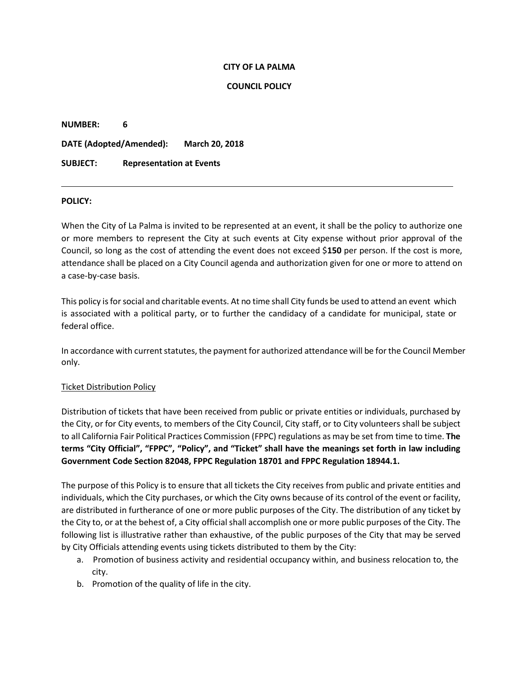#### **CITY OF LA PALMA**

### **COUNCIL POLICY**

| <b>NUMBER:</b>          | 6                               |                       |
|-------------------------|---------------------------------|-----------------------|
| DATE (Adopted/Amended): |                                 | <b>March 20, 2018</b> |
| <b>SUBJECT:</b>         | <b>Representation at Events</b> |                       |

#### **POLICY:**

When the City of La Palma is invited to be represented at an event, it shall be the policy to authorize one or more members to represent the City at such events at City expense without prior approval of the Council, so long as the cost of attending the event does not exceed \$**150** per person. If the cost is more, attendance shall be placed on a City Council agenda and authorization given for one or more to attend on a case-by-case basis.

This policy isfor social and charitable events. At no time shall City funds be used to attend an event which is associated with a political party, or to further the candidacy of a candidate for municipal, state or federal office.

In accordance with current statutes, the payment for authorized attendance will be for the Council Member only.

# Ticket Distribution Policy

Distribution of tickets that have been received from public or private entities or individuals, purchased by the City, or for City events, to members of the City Council, City staff, or to City volunteers shall be subject to all California Fair Political Practices Commission (FPPC) regulations as may be set from time to time. **The**  terms "City Official", "FPPC", "Policy", and "Ticket" shall have the meanings set forth in law including **Government Code Section 82048, FPPC Regulation 18701 and FPPC Regulation 18944.1.**

The purpose of this Policy is to ensure that all tickets the City receives from public and private entities and individuals, which the City purchases, or which the City owns because of its control of the event or facility, are distributed in furtherance of one or more public purposes of the City. The distribution of any ticket by the City to, or at the behest of, a City official shall accomplish one or more public purposes of the City. The following list is illustrative rather than exhaustive, of the public purposes of the City that may be served by City Officials attending events using tickets distributed to them by the City:

- a. Promotion of business activity and residential occupancy within, and business relocation to, the city.
- b. Promotion of the quality of life in the city.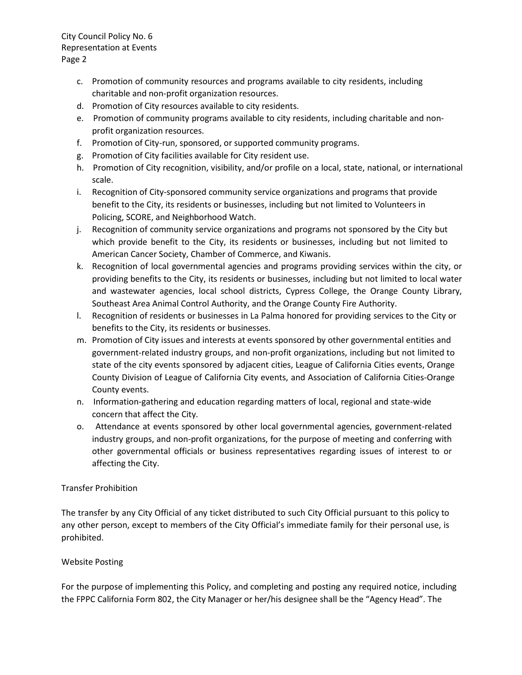City Council Policy No. 6 Representation at Events Page 2

- c. Promotion of community resources and programs available to city residents, including charitable and non-profit organization resources.
- d. Promotion of City resources available to city residents.
- e. Promotion of community programs available to city residents, including charitable and nonprofit organization resources.
- f. Promotion of City-run, sponsored, or supported community programs.
- g. Promotion of City facilities available for City resident use.
- h. Promotion of City recognition, visibility, and/or profile on a local, state, national, or international scale.
- i. Recognition of City-sponsored community service organizations and programs that provide benefit to the City, its residents or businesses, including but not limited to Volunteers in Policing, SCORE, and Neighborhood Watch.
- j. Recognition of community service organizations and programs not sponsored by the City but which provide benefit to the City, its residents or businesses, including but not limited to American Cancer Society, Chamber of Commerce, and Kiwanis.
- k. Recognition of local governmental agencies and programs providing services within the city, or providing benefits to the City, its residents or businesses, including but not limited to local water and wastewater agencies, local school districts, Cypress College, the Orange County Library, Southeast Area Animal Control Authority, and the Orange County Fire Authority.
- l. Recognition of residents or businesses in La Palma honored for providing services to the City or benefits to the City, its residents or businesses.
- m. Promotion of City issues and interests at events sponsored by other governmental entities and government-related industry groups, and non-profit organizations, including but not limited to state of the city events sponsored by adjacent cities, League of California Cities events, Orange County Division of League of California City events, and Association of California Cities-Orange County events.
- n. Information-gathering and education regarding matters of local, regional and state-wide concern that affect the City.
- o. Attendance at events sponsored by other local governmental agencies, government-related industry groups, and non-profit organizations, for the purpose of meeting and conferring with other governmental officials or business representatives regarding issues of interest to or affecting the City.

# Transfer Prohibition

The transfer by any City Official of any ticket distributed to such City Official pursuant to this policy to any other person, except to members of the City Official's immediate family for their personal use, is prohibited.

# Website Posting

For the purpose of implementing this Policy, and completing and posting any required notice, including the FPPC California Form 802, the City Manager or her/his designee shall be the "Agency Head". The